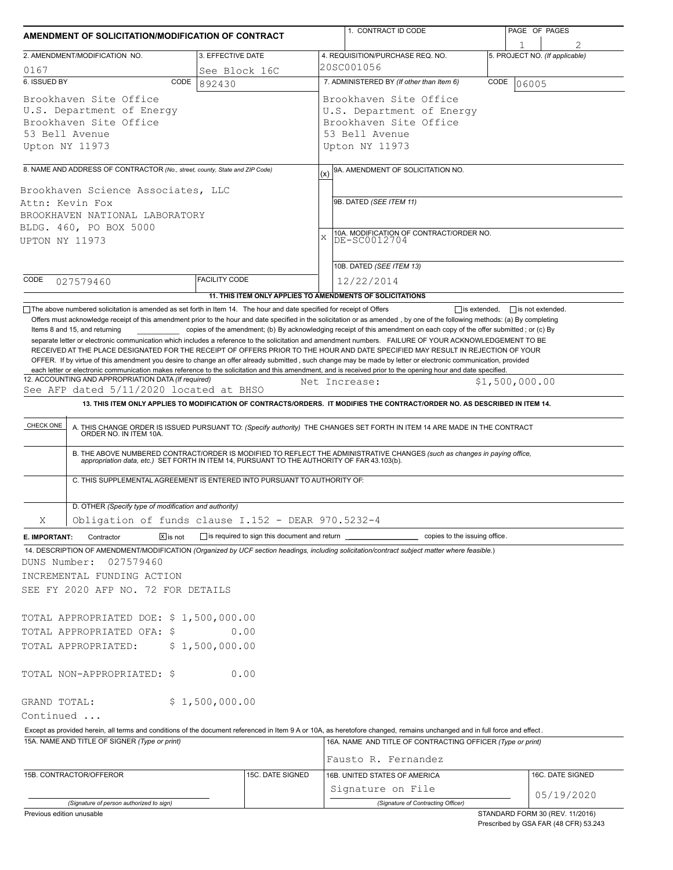| AMENDMENT OF SOLICITATION/MODIFICATION OF CONTRACT<br>3. EFFECTIVE DATE<br>2. AMENDMENT/MODIFICATION NO.                                                                                                                                                                                                                                                                                                                                       |                        |                  |                                                                                                                            | 1. CONTRACT ID CODE                                                                                                                                                                                                                                                                                                                                                                                                                                                                                                       | PAGE OF PAGES  |                                |  |  |  |
|------------------------------------------------------------------------------------------------------------------------------------------------------------------------------------------------------------------------------------------------------------------------------------------------------------------------------------------------------------------------------------------------------------------------------------------------|------------------------|------------------|----------------------------------------------------------------------------------------------------------------------------|---------------------------------------------------------------------------------------------------------------------------------------------------------------------------------------------------------------------------------------------------------------------------------------------------------------------------------------------------------------------------------------------------------------------------------------------------------------------------------------------------------------------------|----------------|--------------------------------|--|--|--|
|                                                                                                                                                                                                                                                                                                                                                                                                                                                |                        |                  |                                                                                                                            | 4. REQUISITION/PURCHASE REQ. NO.                                                                                                                                                                                                                                                                                                                                                                                                                                                                                          |                | 5. PROJECT NO. (If applicable) |  |  |  |
|                                                                                                                                                                                                                                                                                                                                                                                                                                                |                        |                  |                                                                                                                            | 20SC001056                                                                                                                                                                                                                                                                                                                                                                                                                                                                                                                |                |                                |  |  |  |
| 0167<br>6. ISSUED BY<br>CODE                                                                                                                                                                                                                                                                                                                                                                                                                   | See Block 16C          |                  |                                                                                                                            | 7. ADMINISTERED BY (If other than Item 6)                                                                                                                                                                                                                                                                                                                                                                                                                                                                                 | CODE           |                                |  |  |  |
| 892430<br>Brookhaven Site Office<br>U.S. Department of Energy<br>Brookhaven Site Office<br>53 Bell Avenue<br>Upton NY 11973                                                                                                                                                                                                                                                                                                                    |                        |                  | 06005<br>Brookhaven Site Office<br>U.S. Department of Energy<br>Brookhaven Site Office<br>53 Bell Avenue<br>Upton NY 11973 |                                                                                                                                                                                                                                                                                                                                                                                                                                                                                                                           |                |                                |  |  |  |
|                                                                                                                                                                                                                                                                                                                                                                                                                                                |                        |                  |                                                                                                                            |                                                                                                                                                                                                                                                                                                                                                                                                                                                                                                                           |                |                                |  |  |  |
| 8. NAME AND ADDRESS OF CONTRACTOR (No., street, county, State and ZIP Code)                                                                                                                                                                                                                                                                                                                                                                    |                        |                  | (x)                                                                                                                        | 9A. AMENDMENT OF SOLICITATION NO.                                                                                                                                                                                                                                                                                                                                                                                                                                                                                         |                |                                |  |  |  |
| Brookhaven Science Associates, LLC<br>Attn: Kevin Fox<br>BROOKHAVEN NATIONAL LABORATORY<br>BLDG. 460, PO BOX 5000<br>UPTON NY 11973                                                                                                                                                                                                                                                                                                            |                        |                  | 9B. DATED (SEE ITEM 11)<br>10A. MODIFICATION OF CONTRACT/ORDER NO.<br>DE-SC0012704<br>X                                    |                                                                                                                                                                                                                                                                                                                                                                                                                                                                                                                           |                |                                |  |  |  |
|                                                                                                                                                                                                                                                                                                                                                                                                                                                |                        |                  |                                                                                                                            | 10B. DATED (SEE ITEM 13)                                                                                                                                                                                                                                                                                                                                                                                                                                                                                                  |                |                                |  |  |  |
| CODE<br>027579460                                                                                                                                                                                                                                                                                                                                                                                                                              | <b>FACILITY CODE</b>   |                  |                                                                                                                            | 12/22/2014<br>11. THIS ITEM ONLY APPLIES TO AMENDMENTS OF SOLICITATIONS                                                                                                                                                                                                                                                                                                                                                                                                                                                   |                |                                |  |  |  |
| OFFER. If by virtue of this amendment you desire to change an offer already submitted, such change may be made by letter or electronic communication, provided<br>each letter or electronic communication makes reference to the solicitation and this amendment, and is received prior to the opening hour and date specified.<br>12. ACCOUNTING AND APPROPRIATION DATA (If required)<br>See AFP dated 5/11/2020 located at BHSO<br>CHECK ONE |                        |                  |                                                                                                                            | Net Increase:<br>13. THIS ITEM ONLY APPLIES TO MODIFICATION OF CONTRACTS/ORDERS. IT MODIFIES THE CONTRACT/ORDER NO. AS DESCRIBED IN ITEM 14.<br>A. THIS CHANGE ORDER IS ISSUED PURSUANT TO: (Specify authority) THE CHANGES SET FORTH IN ITEM 14 ARE MADE IN THE CONTRACT ORDER NO. IN ITEM 10A.<br>B. THE ABOVE NUMBERED CONTRACT/ORDER IS MODIFIED TO REFLECT THE ADMINISTRATIVE CHANGES (such as changes in paying office, appropriation data, etc.) SET FORTH IN ITEM 14, PURSUANT TO THE AUTHORITY OF FAR 43.103(b). | \$1,500,000.00 |                                |  |  |  |
| C. THIS SUPPLEMENTAL AGREEMENT IS ENTERED INTO PURSUANT TO AUTHORITY OF:<br>D. OTHER (Specify type of modification and authority)                                                                                                                                                                                                                                                                                                              |                        |                  |                                                                                                                            |                                                                                                                                                                                                                                                                                                                                                                                                                                                                                                                           |                |                                |  |  |  |
| Obligation of funds clause I.152 - DEAR 970.5232-4<br>Χ                                                                                                                                                                                                                                                                                                                                                                                        |                        |                  |                                                                                                                            |                                                                                                                                                                                                                                                                                                                                                                                                                                                                                                                           |                |                                |  |  |  |
| $\boxtimes$ is not<br>Contractor<br>E. IMPORTANT:                                                                                                                                                                                                                                                                                                                                                                                              |                        |                  |                                                                                                                            |                                                                                                                                                                                                                                                                                                                                                                                                                                                                                                                           |                |                                |  |  |  |
| 14. DESCRIPTION OF AMENDMENT/MODIFICATION (Organized by UCF section headings, including solicitation/contract subject matter where feasible.)<br>DUNS Number:<br>027579460<br>INCREMENTAL FUNDING ACTION<br>SEE FY 2020 AFP NO. 72 FOR DETAILS<br>TOTAL APPROPRIATED DOE: \$1,500,000.00<br>TOTAL APPROPRIATED OFA: \$<br>TOTAL APPROPRIATED:                                                                                                  | 0.00<br>\$1,500,000.00 |                  |                                                                                                                            |                                                                                                                                                                                                                                                                                                                                                                                                                                                                                                                           |                |                                |  |  |  |
|                                                                                                                                                                                                                                                                                                                                                                                                                                                |                        |                  |                                                                                                                            |                                                                                                                                                                                                                                                                                                                                                                                                                                                                                                                           |                |                                |  |  |  |
|                                                                                                                                                                                                                                                                                                                                                                                                                                                | 0.00                   |                  |                                                                                                                            |                                                                                                                                                                                                                                                                                                                                                                                                                                                                                                                           |                |                                |  |  |  |
|                                                                                                                                                                                                                                                                                                                                                                                                                                                | \$1,500,000.00         |                  |                                                                                                                            |                                                                                                                                                                                                                                                                                                                                                                                                                                                                                                                           |                |                                |  |  |  |
|                                                                                                                                                                                                                                                                                                                                                                                                                                                |                        |                  |                                                                                                                            |                                                                                                                                                                                                                                                                                                                                                                                                                                                                                                                           |                |                                |  |  |  |
| Except as provided herein, all terms and conditions of the document referenced in Item 9 A or 10A, as heretofore changed, remains unchanged and in full force and effect.                                                                                                                                                                                                                                                                      |                        |                  |                                                                                                                            |                                                                                                                                                                                                                                                                                                                                                                                                                                                                                                                           |                |                                |  |  |  |
| 15A. NAME AND TITLE OF SIGNER (Type or print)                                                                                                                                                                                                                                                                                                                                                                                                  |                        |                  |                                                                                                                            | 16A. NAME AND TITLE OF CONTRACTING OFFICER (Type or print)                                                                                                                                                                                                                                                                                                                                                                                                                                                                |                |                                |  |  |  |
|                                                                                                                                                                                                                                                                                                                                                                                                                                                |                        |                  |                                                                                                                            | Fausto R. Fernandez                                                                                                                                                                                                                                                                                                                                                                                                                                                                                                       |                |                                |  |  |  |
| TOTAL NON-APPROPRIATED: \$<br>GRAND TOTAL:<br>Continued<br>15B. CONTRACTOR/OFFEROR                                                                                                                                                                                                                                                                                                                                                             |                        | 15C. DATE SIGNED |                                                                                                                            | 16B. UNITED STATES OF AMERICA<br>Signature on File                                                                                                                                                                                                                                                                                                                                                                                                                                                                        |                | 16C. DATE SIGNED<br>05/19/2020 |  |  |  |

Prescribed by GSA FAR (48 CFR) 53.243